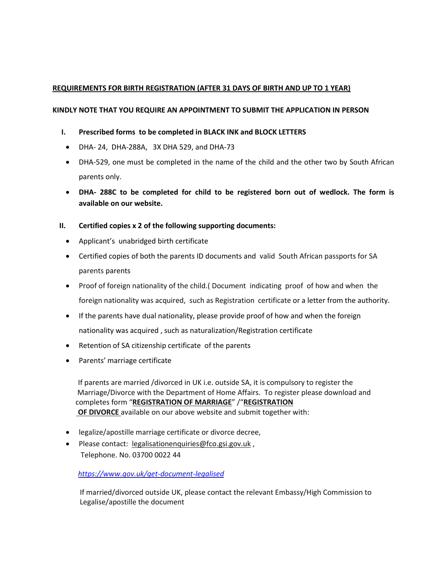## **REQUIREMENTS FOR BIRTH REGISTRATION (AFTER 31 DAYS OF BIRTH AND UP TO 1 YEAR)**

## **KINDLY NOTE THAT YOU REQUIRE AN APPOINTMENT TO SUBMIT THE APPLICATION IN PERSON**

- **I. Prescribed forms to be completed in BLACK INK and BLOCK LETTERS**
	- DHA- 24, DHA-288A, 3X DHA 529, and DHA-73
	- DHA-529, one must be completed in the name of the child and the other two by South African parents only.
	- **DHA- 288C to be completed for child to be registered born out of wedlock. The form is available on our website.**

## **II. Certified copies x 2 of the following supporting documents:**

- Applicant's unabridged birth certificate
- Certified copies of both the parents ID documents and valid South African passports for SA parents parents
- Proof of foreign nationality of the child.( Document indicating proof of how and when the foreign nationality was acquired, such as Registration certificate or a letter from the authority.
- If the parents have dual nationality, please provide proof of how and when the foreign nationality was acquired , such as naturalization/Registration certificate
- Retention of SA citizenship certificate of the parents
- Parents' marriage certificate

 If parents are married /divorced in UK i.e. outside SA, it is compulsory to register the Marriage/Divorce with the Department of Home Affairs. To register please download and completes form "**REGISTRATION OF MARRIAGE**" /"**REGISTRATION OF DIVORCE** available on our above website and submit together with:

- legalize/apostille marriage certificate or divorce decree,
- Please contact: [legalisationenquiries@fco.gsi.gov.uk](mailto:legalisationenquiries@fco.gsi.gov.uk), Telephone. No. 03700 0022 44

 *<https://www.gov.uk/get-document-legalised>*

 If married/divorced outside UK, please contact the relevant Embassy/High Commission to Legalise/apostille the document